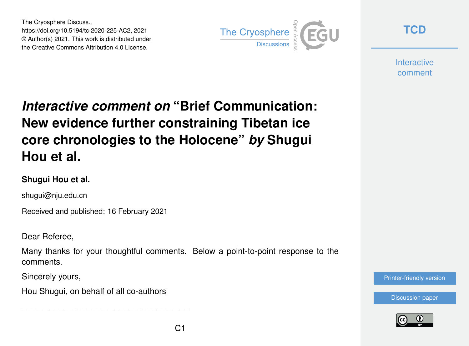The Cryosphere Discuss., https://doi.org/10.5194/tc-2020-225-AC2, 2021 © Author(s) 2021. This work is distributed under the Creative Commons Attribution 4.0 License.



**[TCD](https://tc.copernicus.org/preprints/)**

**Interactive** comment

## *Interactive comment on* **"Brief Communication: New evidence further constraining Tibetan ice core chronologies to the Holocene"** *by* **Shugui Hou et al.**

## **Shugui Hou et al.**

shugui@nju.edu.cn

Received and published: 16 February 2021

Dear Referee,

Many thanks for your thoughtful comments. Below a point-to-point response to the comments.

Sincerely yours,

Hou Shugui, on behalf of all co-authors

\_\_\_\_\_\_\_\_\_\_\_\_\_\_\_\_\_\_\_\_\_\_\_\_\_\_\_\_\_\_\_\_\_\_\_\_

[Printer-friendly version](https://tc.copernicus.org/preprints/tc-2020-225/tc-2020-225-AC2-print.pdf)

[Discussion paper](https://tc.copernicus.org/preprints/tc-2020-225)

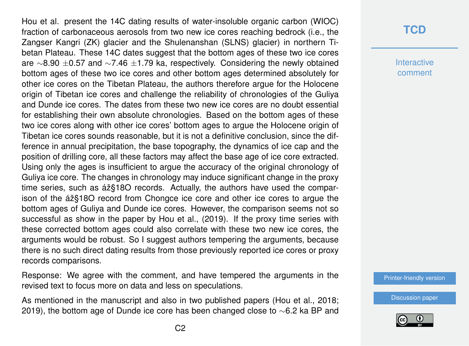Hou et al. present the 14C dating results of water-insoluble organic carbon (WIOC) fraction of carbonaceous aerosols from two new ice cores reaching bedrock (i.e., the Zangser Kangri (ZK) glacier and the Shulenanshan (SLNS) glacier) in northern Tibetan Plateau. These 14C dates suggest that the bottom ages of these two ice cores are ∼8.90 ±0.57 and ∼7.46 ±1.79 ka, respectively. Considering the newly obtained bottom ages of these two ice cores and other bottom ages determined absolutely for other ice cores on the Tibetan Plateau, the authors therefore argue for the Holocene origin of Tibetan ice cores and challenge the reliability of chronologies of the Guliya and Dunde ice cores. The dates from these two new ice cores are no doubt essential for establishing their own absolute chronologies. Based on the bottom ages of these two ice cores along with other ice cores' bottom ages to argue the Holocene origin of Tibetan ice cores sounds reasonable, but it is not a definitive conclusion, since the difference in annual precipitation, the base topography, the dynamics of ice cap and the position of drilling core, all these factors may affect the base age of ice core extracted. Using only the ages is insufficient to argue the accuracy of the original chronology of Guliya ice core. The changes in chronology may induce significant change in the proxy time series, such as áž§18O records. Actually, the authors have used the comparison of the áž§18O record from Chongce ice core and other ice cores to argue the bottom ages of Guliya and Dunde ice cores. However, the comparison seems not so successful as show in the paper by Hou et al., (2019). If the proxy time series with these corrected bottom ages could also correlate with these two new ice cores, the arguments would be robust. So I suggest authors tempering the arguments, because there is no such direct dating results from those previously reported ice cores or proxy records comparisons.

Response: We agree with the comment, and have tempered the arguments in the revised text to focus more on data and less on speculations.

As mentioned in the manuscript and also in two published papers (Hou et al., 2018; 2019), the bottom age of Dunde ice core has been changed close to ∼6.2 ka BP and

## **[TCD](https://tc.copernicus.org/preprints/)**

**Interactive** comment

[Printer-friendly version](https://tc.copernicus.org/preprints/tc-2020-225/tc-2020-225-AC2-print.pdf)

[Discussion paper](https://tc.copernicus.org/preprints/tc-2020-225)